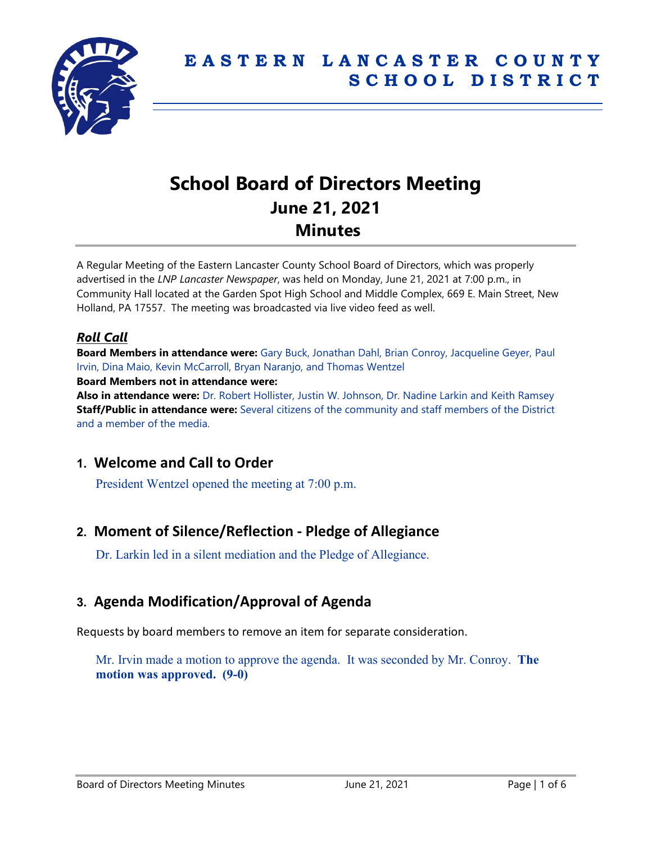

# **School Board of Directors Meeting June 21, 2021 Minutes**

A Regular Meeting of the Eastern Lancaster County School Board of Directors, which was properly advertised in the *LNP Lancaster Newspaper*, was held on Monday, June 21, 2021 at 7:00 p.m., in Community Hall located at the Garden Spot High School and Middle Complex, 669 E. Main Street, New Holland, PA 17557. The meeting was broadcasted via live video feed as well.

### *Roll Call*

**Board Members in attendance were:** Gary Buck, Jonathan Dahl, Brian Conroy, Jacqueline Geyer, Paul Irvin, Dina Maio, Kevin McCarroll, Bryan Naranjo, and Thomas Wentzel **Board Members not in attendance were:**

**Also in attendance were:** Dr. Robert Hollister, Justin W. Johnson, Dr. Nadine Larkin and Keith Ramsey **Staff/Public in attendance were:** Several citizens of the community and staff members of the District and a member of the media.

# **1. Welcome and Call to Order**

President Wentzel opened the meeting at 7:00 p.m.

# **2. Moment of Silence/Reflection - Pledge of Allegiance**

Dr. Larkin led in a silent mediation and the Pledge of Allegiance.

# **3. Agenda Modification/Approval of Agenda**

Requests by board members to remove an item for separate consideration.

Mr. Irvin made a motion to approve the agenda. It was seconded by Mr. Conroy. **The motion was approved. (9-0)**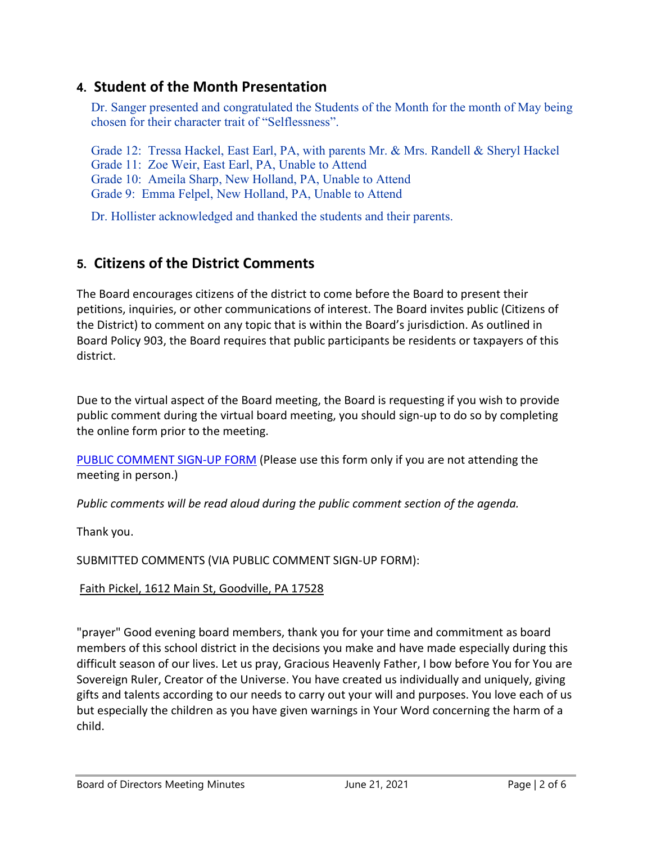# **4. Student of the Month Presentation**

Dr. Sanger presented and congratulated the Students of the Month for the month of May being chosen for their character trait of "Selflessness".

Grade 12: Tressa Hackel, East Earl, PA, with parents Mr. & Mrs. Randell & Sheryl Hackel Grade 11: Zoe Weir, East Earl, PA, Unable to Attend Grade 10: Ameila Sharp, New Holland, PA, Unable to Attend Grade 9: Emma Felpel, New Holland, PA, Unable to Attend

Dr. Hollister acknowledged and thanked the students and their parents.

# **5. Citizens of the District Comments**

The Board encourages citizens of the district to come before the Board to present their petitions, inquiries, or other communications of interest. The Board invites public (Citizens of the District) to comment on any topic that is within the Board's jurisdiction. As outlined in Board Policy 903, the Board requires that public participants be residents or taxpayers of this district.

Due to the virtual aspect of the Board meeting, the Board is requesting if you wish to provide public comment during the virtual board meeting, you should sign-up to do so by completing the online form prior to the meeting.

[PUBLIC COMMENT SIGN-UP FORM](https://forms.gle/zDXXoX8rZQUxt1Ap6) (Please use this form only if you are not attending the meeting in person.)

*Public comments will be read aloud during the public comment section of the agenda.*

Thank you.

SUBMITTED COMMENTS (VIA PUBLIC COMMENT SIGN-UP FORM):

#### Faith Pickel, 1612 Main St, Goodville, PA 17528

"prayer" Good evening board members, thank you for your time and commitment as board members of this school district in the decisions you make and have made especially during this difficult season of our lives. Let us pray, Gracious Heavenly Father, I bow before You for You are Sovereign Ruler, Creator of the Universe. You have created us individually and uniquely, giving gifts and talents according to our needs to carry out your will and purposes. You love each of us but especially the children as you have given warnings in Your Word concerning the harm of a child.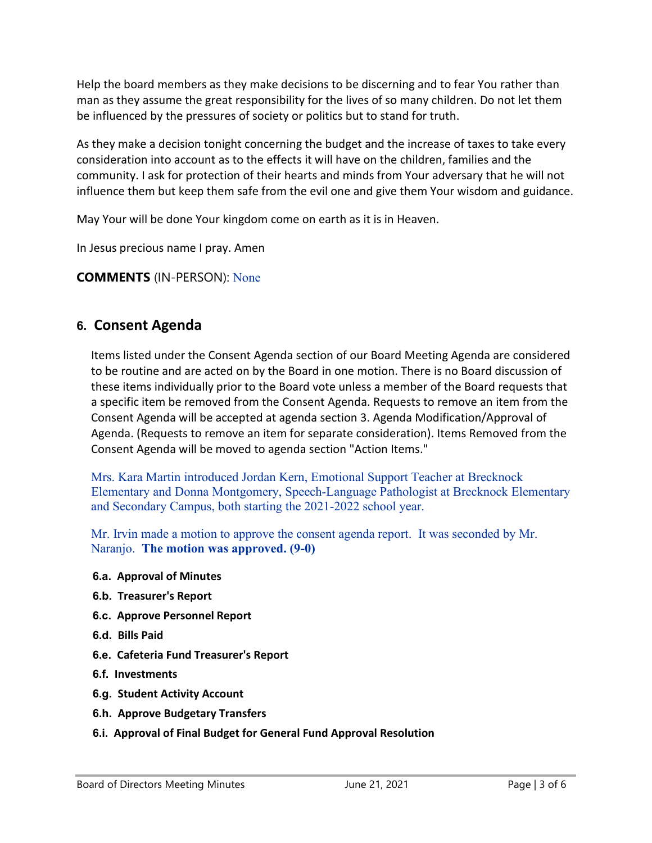Help the board members as they make decisions to be discerning and to fear You rather than man as they assume the great responsibility for the lives of so many children. Do not let them be influenced by the pressures of society or politics but to stand for truth.

As they make a decision tonight concerning the budget and the increase of taxes to take every consideration into account as to the effects it will have on the children, families and the community. I ask for protection of their hearts and minds from Your adversary that he will not influence them but keep them safe from the evil one and give them Your wisdom and guidance.

May Your will be done Your kingdom come on earth as it is in Heaven.

In Jesus precious name I pray. Amen

**COMMENTS** (IN-PERSON): None

# **6. Consent Agenda**

Items listed under the Consent Agenda section of our Board Meeting Agenda are considered to be routine and are acted on by the Board in one motion. There is no Board discussion of these items individually prior to the Board vote unless a member of the Board requests that a specific item be removed from the Consent Agenda. Requests to remove an item from the Consent Agenda will be accepted at agenda section 3. Agenda Modification/Approval of Agenda. (Requests to remove an item for separate consideration). Items Removed from the Consent Agenda will be moved to agenda section "Action Items."

Mrs. Kara Martin introduced Jordan Kern, Emotional Support Teacher at Brecknock Elementary and Donna Montgomery, Speech-Language Pathologist at Brecknock Elementary and Secondary Campus, both starting the 2021-2022 school year.

Mr. Irvin made a motion to approve the consent agenda report. It was seconded by Mr. Naranjo. **The motion was approved. (9-0)**

- **6.a. Approval of Minutes**
- **6.b. Treasurer's Report**
- **6.c. Approve Personnel Report**
- **6.d. Bills Paid**
- **6.e. Cafeteria Fund Treasurer's Report**
- **6.f. Investments**
- **6.g. Student Activity Account**
- **6.h. Approve Budgetary Transfers**
- **6.i. Approval of Final Budget for General Fund Approval Resolution**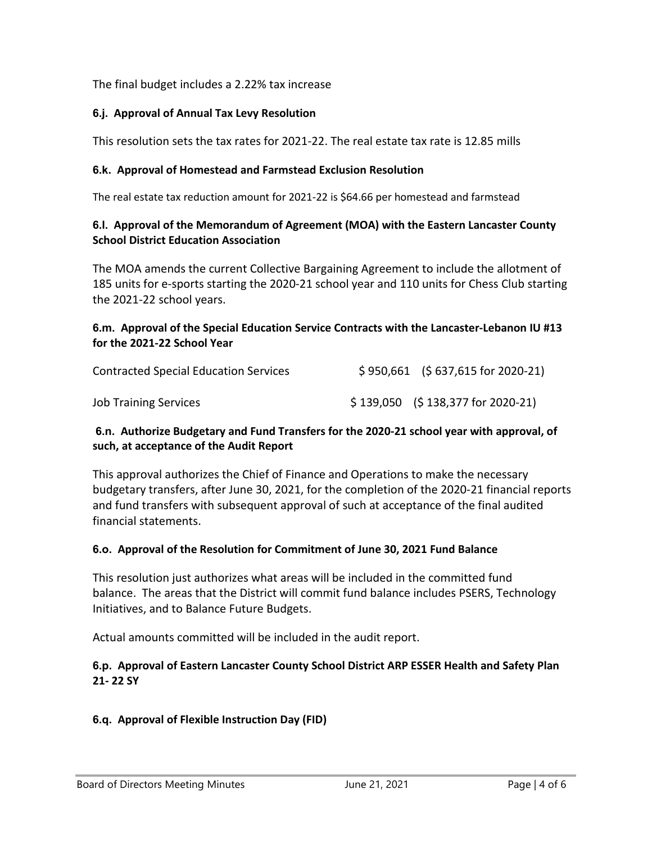The final budget includes a 2.22% tax increase

#### **6.j. Approval of Annual Tax Levy Resolution**

This resolution sets the tax rates for 2021-22. The real estate tax rate is 12.85 mills

#### **6.k. Approval of Homestead and Farmstead Exclusion Resolution**

The real estate tax reduction amount for 2021-22 is \$64.66 per homestead and farmstead

#### **6.l. Approval of the Memorandum of Agreement (MOA) with the Eastern Lancaster County School District Education Association**

The MOA amends the current Collective Bargaining Agreement to include the allotment of 185 units for e-sports starting the 2020-21 school year and 110 units for Chess Club starting the 2021-22 school years.

#### **6.m. Approval of the Special Education Service Contracts with the Lancaster-Lebanon IU #13 for the 2021-22 School Year**

| <b>Contracted Special Education Services</b> | $$950,661$ (\$637,615 for 2020-21) |
|----------------------------------------------|------------------------------------|
| <b>Job Training Services</b>                 | $$139,050$ (\$138,377 for 2020-21) |

#### **6.n. Authorize Budgetary and Fund Transfers for the 2020-21 school year with approval, of such, at acceptance of the Audit Report**

This approval authorizes the Chief of Finance and Operations to make the necessary budgetary transfers, after June 30, 2021, for the completion of the 2020-21 financial reports and fund transfers with subsequent approval of such at acceptance of the final audited financial statements.

#### **6.o. Approval of the Resolution for Commitment of June 30, 2021 Fund Balance**

This resolution just authorizes what areas will be included in the committed fund balance. The areas that the District will commit fund balance includes PSERS, Technology Initiatives, and to Balance Future Budgets.

Actual amounts committed will be included in the audit report.

#### **6.p. Approval of Eastern Lancaster County School District ARP ESSER Health and Safety Plan 21- 22 SY**

### **6.q. Approval of Flexible Instruction Day (FID)**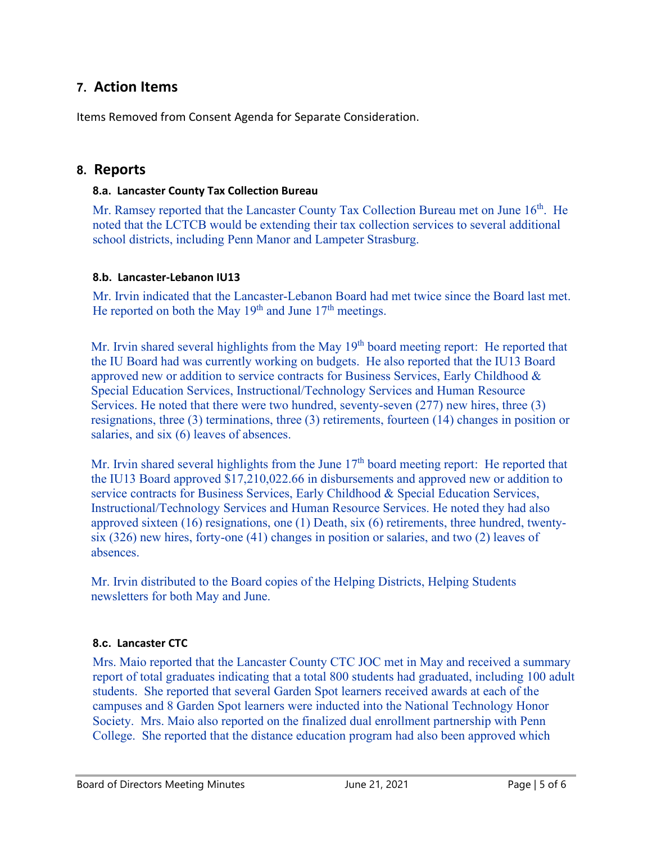# **7. Action Items**

Items Removed from Consent Agenda for Separate Consideration.

### **8. Reports**

#### **8.a. Lancaster County Tax Collection Bureau**

Mr. Ramsey reported that the Lancaster County Tax Collection Bureau met on June 16<sup>th</sup>. He noted that the LCTCB would be extending their tax collection services to several additional school districts, including Penn Manor and Lampeter Strasburg.

#### **8.b. Lancaster-Lebanon IU13**

Mr. Irvin indicated that the Lancaster-Lebanon Board had met twice since the Board last met. He reported on both the May  $19<sup>th</sup>$  and June  $17<sup>th</sup>$  meetings.

Mr. Irvin shared several highlights from the May 19<sup>th</sup> board meeting report: He reported that the IU Board had was currently working on budgets. He also reported that the IU13 Board approved new or addition to service contracts for Business Services, Early Childhood & Special Education Services, Instructional/Technology Services and Human Resource Services. He noted that there were two hundred, seventy-seven (277) new hires, three (3) resignations, three (3) terminations, three (3) retirements, fourteen (14) changes in position or salaries, and six (6) leaves of absences.

Mr. Irvin shared several highlights from the June 17<sup>th</sup> board meeting report: He reported that the IU13 Board approved \$17,210,022.66 in disbursements and approved new or addition to service contracts for Business Services, Early Childhood & Special Education Services, Instructional/Technology Services and Human Resource Services. He noted they had also approved sixteen (16) resignations, one (1) Death, six (6) retirements, three hundred, twentysix (326) new hires, forty-one (41) changes in position or salaries, and two (2) leaves of absences.

Mr. Irvin distributed to the Board copies of the Helping Districts, Helping Students newsletters for both May and June.

### **8.c. Lancaster CTC**

Mrs. Maio reported that the Lancaster County CTC JOC met in May and received a summary report of total graduates indicating that a total 800 students had graduated, including 100 adult students. She reported that several Garden Spot learners received awards at each of the campuses and 8 Garden Spot learners were inducted into the National Technology Honor Society. Mrs. Maio also reported on the finalized dual enrollment partnership with Penn College. She reported that the distance education program had also been approved which